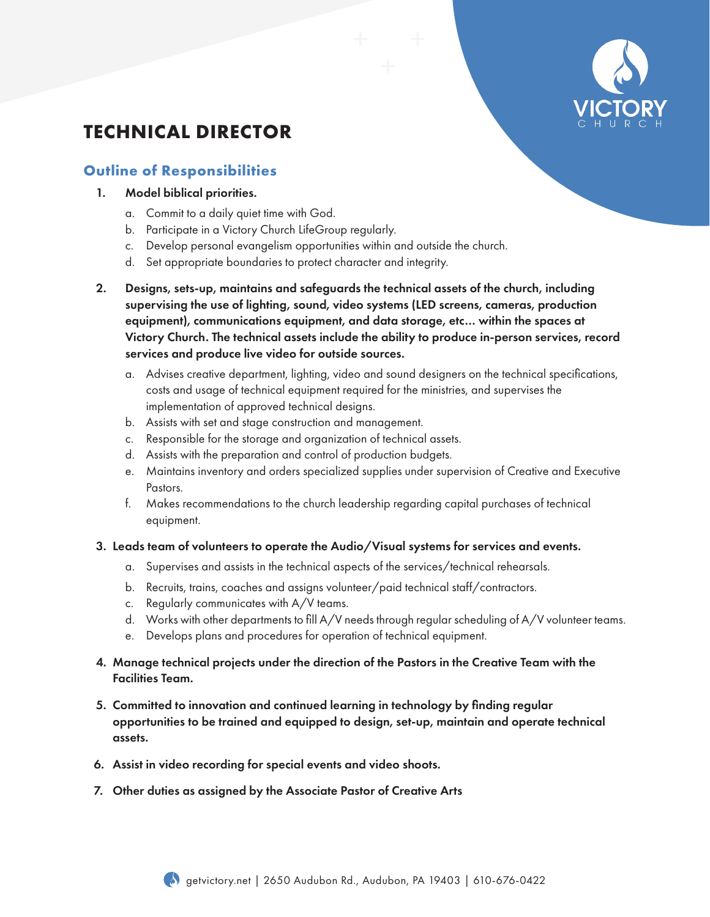

# **TECHNICAL DIRECTOR**

## **Outline of Responsibilities**

- 1. Model biblical priorities.
	- a. Commit to a daily quiet time with God.
	- b. Participate in a Victory Church LifeGroup regularly.
	- c. Develop personal evangelism opportunities within and outside the church.
	- d. Set appropriate boundaries to protect character and integrity.
- 2. Designs, sets-up, maintains and safeguards the technical assets of the church, including supervising the use of lighting, sound, video systems (LED screens, cameras, production equipment), communications equipment, and data storage, etc… within the spaces at Victory Church. The technical assets include the ability to produce in-person services, record services and produce live video for outside sources.
	- a. Advises creative department, lighting, video and sound designers on the technical specifications, costs and usage of technical equipment required for the ministries, and supervises the implementation of approved technical designs.
	- b. Assists with set and stage construction and management.
	- c. Responsible for the storage and organization of technical assets.
	- d. Assists with the preparation and control of production budgets.
	- e. Maintains inventory and orders specialized supplies under supervision of Creative and Executive Pastors.
	- f. Makes recommendations to the church leadership regarding capital purchases of technical equipment.

#### 3. Leads team of volunteers to operate the Audio/Visual systems for services and events.

- a. Supervises and assists in the technical aspects of the services/technical rehearsals.
- b. Recruits, trains, coaches and assigns volunteer/paid technical staff/contractors.
- c. Regularly communicates with A/V teams.
- d. Works with other departments to fill A/V needs through regular scheduling of A/V volunteer teams.
- e. Develops plans and procedures for operation of technical equipment.
- 4. Manage technical projects under the direction of the Pastors in the Creative Team with the Facilities Team.
- 5. Committed to innovation and continued learning in technology by finding regular opportunities to be trained and equipped to design, set-up, maintain and operate technical assets.
- 6. Assist in video recording for special events and video shoots.
- 7. Other duties as assigned by the Associate Pastor of Creative Arts